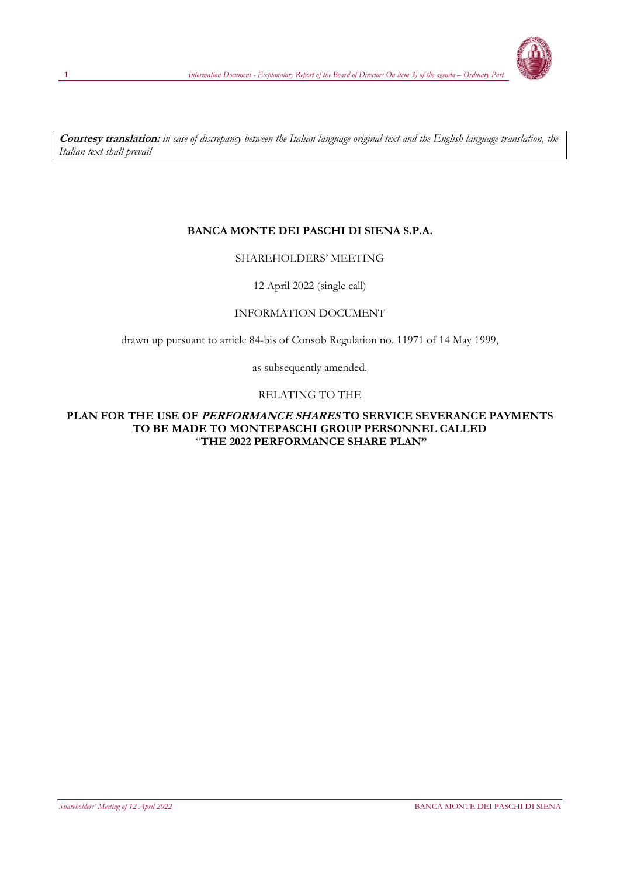

**Courtesy translation:** *in case of discrepancy between the Italian language original text and the English language translation, the Italian text shall prevail*

## **BANCA MONTE DEI PASCHI DI SIENA S.P.A.**

## SHAREHOLDERS' MEETING

12 April 2022 (single call)

## INFORMATION DOCUMENT

drawn up pursuant to article 84-bis of Consob Regulation no. 11971 of 14 May 1999,

as subsequently amended.

## RELATING TO THE

#### **PLAN FOR THE USE OF PERFORMANCE SHARES TO SERVICE SEVERANCE PAYMENTS TO BE MADE TO MONTEPASCHI GROUP PERSONNEL CALLED** "**THE 2022 PERFORMANCE SHARE PLAN"**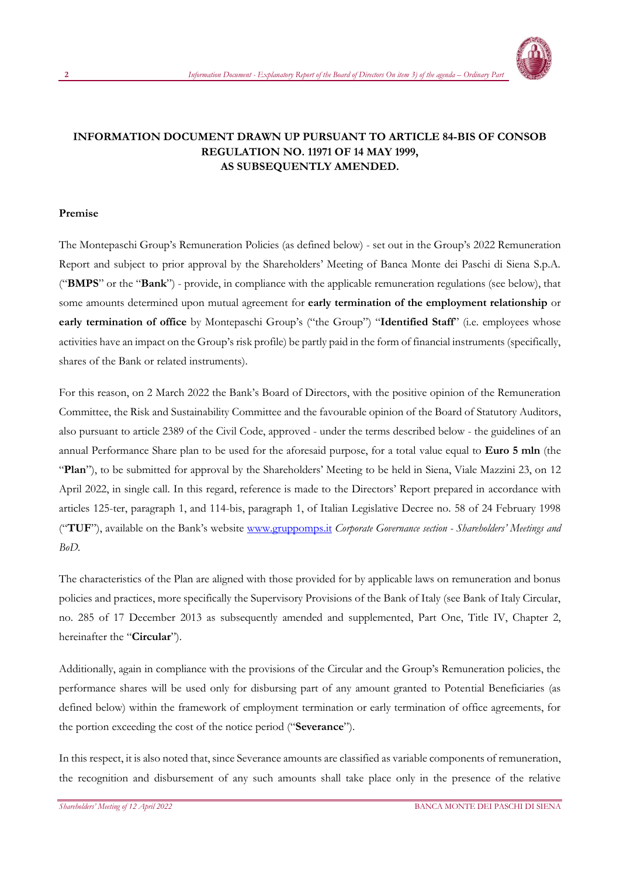

## **INFORMATION DOCUMENT DRAWN UP PURSUANT TO ARTICLE 84-BIS OF CONSOB REGULATION NO. 11971 OF 14 MAY 1999, AS SUBSEQUENTLY AMENDED.**

#### **Premise**

The Montepaschi Group's Remuneration Policies (as defined below) - set out in the Group's 2022 Remuneration Report and subject to prior approval by the Shareholders' Meeting of Banca Monte dei Paschi di Siena S.p.A. ("**BMPS**" or the "**Bank**") - provide, in compliance with the applicable remuneration regulations (see below), that some amounts determined upon mutual agreement for **early termination of the employment relationship** or **early termination of office** by Montepaschi Group's ("the Group") "**Identified Staff**" (i.e. employees whose activities have an impact on the Group's risk profile) be partly paid in the form of financial instruments (specifically, shares of the Bank or related instruments).

For this reason, on 2 March 2022 the Bank's Board of Directors, with the positive opinion of the Remuneration Committee, the Risk and Sustainability Committee and the favourable opinion of the Board of Statutory Auditors, also pursuant to article 2389 of the Civil Code, approved - under the terms described below - the guidelines of an annual Performance Share plan to be used for the aforesaid purpose, for a total value equal to **Euro 5 mln** (the "**Plan**"), to be submitted for approval by the Shareholders' Meeting to be held in Siena, Viale Mazzini 23, on 12 April 2022, in single call. In this regard, reference is made to the Directors' Report prepared in accordance with articles 125-ter, paragraph 1, and 114-bis, paragraph 1, of Italian Legislative Decree no. 58 of 24 February 1998 ("**TUF**"), available on the Bank's website [www.gruppomps.it](https://www.gruppomps.it/en/corporate-governance/shareholders-meeting-and-bod/shareholders-meeting-and-bod.html) *Corporate Governance section - Shareholders' Meetings and BoD.*

The characteristics of the Plan are aligned with those provided for by applicable laws on remuneration and bonus policies and practices, more specifically the Supervisory Provisions of the Bank of Italy (see Bank of Italy Circular, no. 285 of 17 December 2013 as subsequently amended and supplemented, Part One, Title IV, Chapter 2, hereinafter the "**Circular**").

Additionally, again in compliance with the provisions of the Circular and the Group's Remuneration policies, the performance shares will be used only for disbursing part of any amount granted to Potential Beneficiaries (as defined below) within the framework of employment termination or early termination of office agreements, for the portion exceeding the cost of the notice period ("**Severance**").

In this respect, it is also noted that, since Severance amounts are classified as variable components of remuneration, the recognition and disbursement of any such amounts shall take place only in the presence of the relative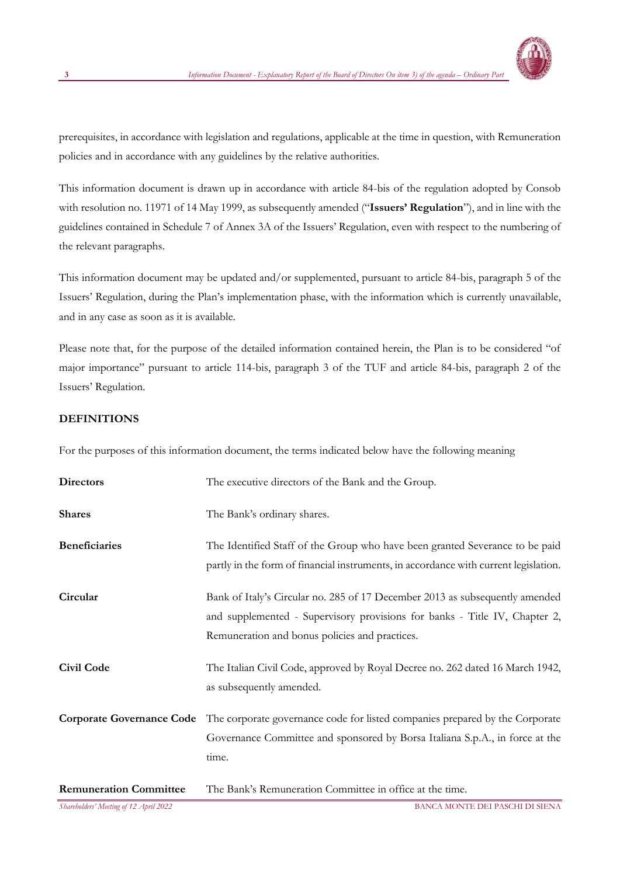

prerequisites, in accordance with legislation and regulations, applicable at the time in question, with Remuneration policies and in accordance with any guidelines by the relative authorities.

This information document is drawn up in accordance with article 84-bis of the regulation adopted by Consob with resolution no. 11971 of 14 May 1999, as subsequently amended ("**Issuers' Regulation**"), and in line with the guidelines contained in Schedule 7 of Annex 3A of the Issuers' Regulation, even with respect to the numbering of the relevant paragraphs.

This information document may be updated and/or supplemented, pursuant to article 84-bis, paragraph 5 of the Issuers' Regulation, during the Plan's implementation phase, with the information which is currently unavailable, and in any case as soon as it is available.

Please note that, for the purpose of the detailed information contained herein, the Plan is to be considered "of major importance" pursuant to article 114-bis, paragraph 3 of the TUF and article 84-bis, paragraph 2 of the Issuers' Regulation.

## **DEFINITIONS**

For the purposes of this information document, the terms indicated below have the following meaning

| <b>Directors</b>              | The executive directors of the Bank and the Group.                                                                                                                                                           |
|-------------------------------|--------------------------------------------------------------------------------------------------------------------------------------------------------------------------------------------------------------|
| <b>Shares</b>                 | The Bank's ordinary shares.                                                                                                                                                                                  |
| <b>Beneficiaries</b>          | The Identified Staff of the Group who have been granted Severance to be paid<br>partly in the form of financial instruments, in accordance with current legislation.                                         |
| Circular                      | Bank of Italy's Circular no. 285 of 17 December 2013 as subsequently amended<br>and supplemented - Supervisory provisions for banks - Title IV, Chapter 2,<br>Remuneration and bonus policies and practices. |
| <b>Civil Code</b>             | The Italian Civil Code, approved by Royal Decree no. 262 dated 16 March 1942,<br>as subsequently amended.                                                                                                    |
|                               | Corporate Governance Code The corporate governance code for listed companies prepared by the Corporate<br>Governance Committee and sponsored by Borsa Italiana S.p.A., in force at the<br>time.              |
| <b>Remuneration Committee</b> | The Bank's Remuneration Committee in office at the time.                                                                                                                                                     |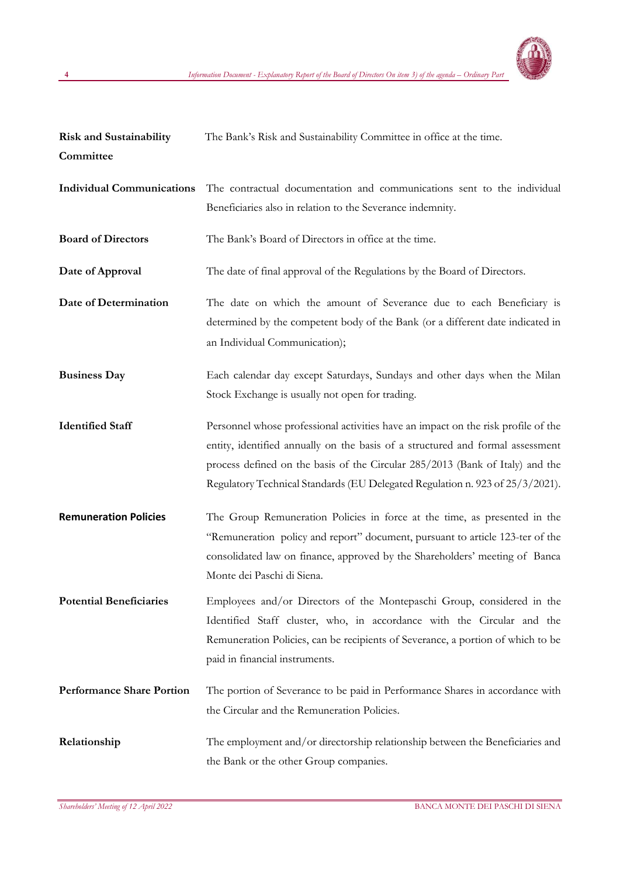

| <b>Risk and Sustainability</b><br>Committee | The Bank's Risk and Sustainability Committee in office at the time.                                                                                                                                                                                                                                                                   |
|---------------------------------------------|---------------------------------------------------------------------------------------------------------------------------------------------------------------------------------------------------------------------------------------------------------------------------------------------------------------------------------------|
| <b>Individual Communications</b>            | The contractual documentation and communications sent to the individual<br>Beneficiaries also in relation to the Severance indemnity.                                                                                                                                                                                                 |
| <b>Board of Directors</b>                   | The Bank's Board of Directors in office at the time.                                                                                                                                                                                                                                                                                  |
| Date of Approval                            | The date of final approval of the Regulations by the Board of Directors.                                                                                                                                                                                                                                                              |
| Date of Determination                       | The date on which the amount of Severance due to each Beneficiary is<br>determined by the competent body of the Bank (or a different date indicated in<br>an Individual Communication);                                                                                                                                               |
| <b>Business Day</b>                         | Each calendar day except Saturdays, Sundays and other days when the Milan<br>Stock Exchange is usually not open for trading.                                                                                                                                                                                                          |
| <b>Identified Staff</b>                     | Personnel whose professional activities have an impact on the risk profile of the<br>entity, identified annually on the basis of a structured and formal assessment<br>process defined on the basis of the Circular 285/2013 (Bank of Italy) and the<br>Regulatory Technical Standards (EU Delegated Regulation n. 923 of 25/3/2021). |
| <b>Remuneration Policies</b>                | The Group Remuneration Policies in force at the time, as presented in the<br>"Remuneration policy and report" document, pursuant to article 123-ter of the<br>consolidated law on finance, approved by the Shareholders' meeting of Banca<br>Monte dei Paschi di Siena.                                                               |
| <b>Potential Beneficiaries</b>              | Employees and/or Directors of the Montepaschi Group, considered in the<br>Identified Staff cluster, who, in accordance with the Circular and the<br>Remuneration Policies, can be recipients of Severance, a portion of which to be<br>paid in financial instruments.                                                                 |
| <b>Performance Share Portion</b>            | The portion of Severance to be paid in Performance Shares in accordance with<br>the Circular and the Remuneration Policies.                                                                                                                                                                                                           |
| Relationship                                | The employment and/or directorship relationship between the Beneficiaries and<br>the Bank or the other Group companies.                                                                                                                                                                                                               |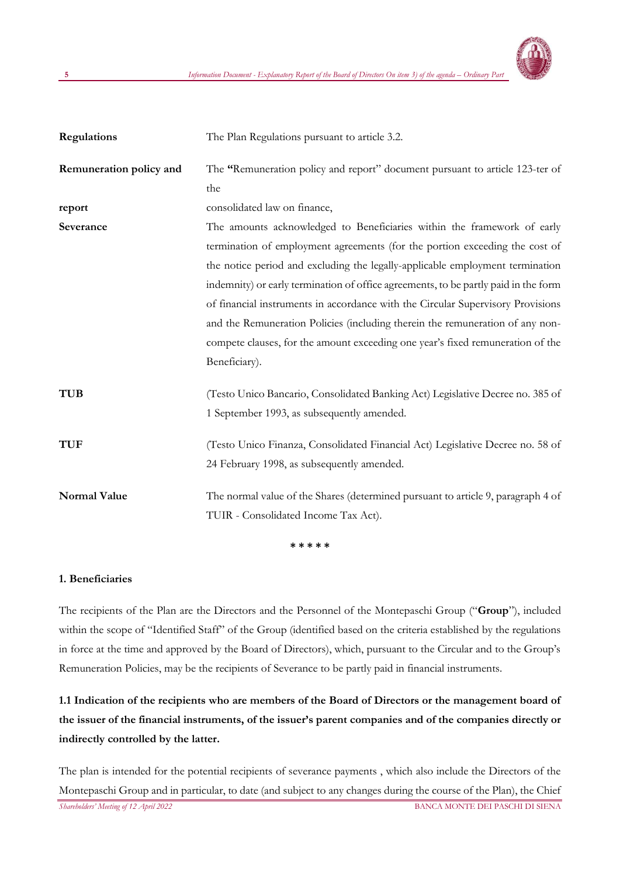

| Regulations             | The Plan Regulations pursuant to article 3.2.                                       |
|-------------------------|-------------------------------------------------------------------------------------|
| Remuneration policy and | The "Remuneration policy and report" document pursuant to article 123-ter of        |
|                         | the                                                                                 |
| report                  | consolidated law on finance,                                                        |
| Severance               | The amounts acknowledged to Beneficiaries within the framework of early             |
|                         | termination of employment agreements (for the portion exceeding the cost of         |
|                         | the notice period and excluding the legally-applicable employment termination       |
|                         | indemnity) or early termination of office agreements, to be partly paid in the form |
|                         | of financial instruments in accordance with the Circular Supervisory Provisions     |
|                         | and the Remuneration Policies (including therein the remuneration of any non-       |
|                         | compete clauses, for the amount exceeding one year's fixed remuneration of the      |
|                         | Beneficiary).                                                                       |
| <b>TUB</b>              | (Testo Unico Bancario, Consolidated Banking Act) Legislative Decree no. 385 of      |
|                         | 1 September 1993, as subsequently amended.                                          |
| <b>TUF</b>              | (Testo Unico Finanza, Consolidated Financial Act) Legislative Decree no. 58 of      |
|                         | 24 February 1998, as subsequently amended.                                          |
| <b>Normal Value</b>     | The normal value of the Shares (determined pursuant to article 9, paragraph 4 of    |
|                         | TUIR - Consolidated Income Tax Act).                                                |

**\* \* \* \* \***

#### **1. Beneficiaries**

The recipients of the Plan are the Directors and the Personnel of the Montepaschi Group ("**Group**"), included within the scope of "Identified Staff" of the Group (identified based on the criteria established by the regulations in force at the time and approved by the Board of Directors), which, pursuant to the Circular and to the Group's Remuneration Policies, may be the recipients of Severance to be partly paid in financial instruments.

# **1.1 Indication of the recipients who are members of the Board of Directors or the management board of**  the issuer of the financial instruments, of the issuer's parent companies and of the companies directly or **indirectly controlled by the latter.**

*Shareholders' Meeting of 12 April 2022* BANCA MONTE DEI PASCHI DI SIENA The plan is intended for the potential recipients of severance payments , which also include the Directors of the Montepaschi Group and in particular, to date (and subject to any changes during the course of the Plan), the Chief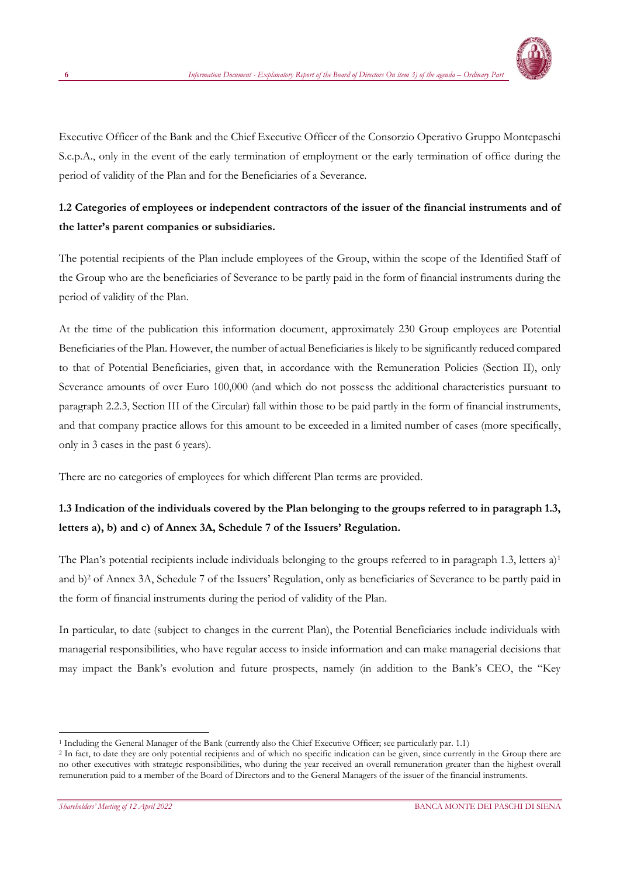

Executive Officer of the Bank and the Chief Executive Officer of the Consorzio Operativo Gruppo Montepaschi S.c.p.A., only in the event of the early termination of employment or the early termination of office during the period of validity of the Plan and for the Beneficiaries of a Severance.

# **1.2 Categories of employees or independent contractors of the issuer of the financial instruments and of the latter's parent companies or subsidiaries.**

The potential recipients of the Plan include employees of the Group, within the scope of the Identified Staff of the Group who are the beneficiaries of Severance to be partly paid in the form of financial instruments during the period of validity of the Plan.

At the time of the publication this information document, approximately 230 Group employees are Potential Beneficiaries of the Plan. However, the number of actual Beneficiaries is likely to be significantly reduced compared to that of Potential Beneficiaries, given that, in accordance with the Remuneration Policies (Section II), only Severance amounts of over Euro 100,000 (and which do not possess the additional characteristics pursuant to paragraph 2.2.3, Section III of the Circular) fall within those to be paid partly in the form of financial instruments, and that company practice allows for this amount to be exceeded in a limited number of cases (more specifically, only in 3 cases in the past 6 years).

There are no categories of employees for which different Plan terms are provided.

# **1.3 Indication of the individuals covered by the Plan belonging to the groups referred to in paragraph 1.3, letters a), b) and c) of Annex 3A, Schedule 7 of the Issuers' Regulation.**

The Plan's potential recipients include individuals belonging to the groups referred to in paragraph 1.3, letters  $a$ <sup>1</sup> and b)<sup>2</sup> of Annex 3A, Schedule 7 of the Issuers' Regulation, only as beneficiaries of Severance to be partly paid in the form of financial instruments during the period of validity of the Plan.

In particular, to date (subject to changes in the current Plan), the Potential Beneficiaries include individuals with managerial responsibilities, who have regular access to inside information and can make managerial decisions that may impact the Bank's evolution and future prospects, namely (in addition to the Bank's CEO, the "Key

<sup>1</sup> Including the General Manager of the Bank (currently also the Chief Executive Officer; see particularly par. 1.1)

<sup>&</sup>lt;sup>2</sup> In fact, to date they are only potential recipients and of which no specific indication can be given, since currently in the Group there are no other executives with strategic responsibilities, who during the year received an overall remuneration greater than the highest overall remuneration paid to a member of the Board of Directors and to the General Managers of the issuer of the financial instruments.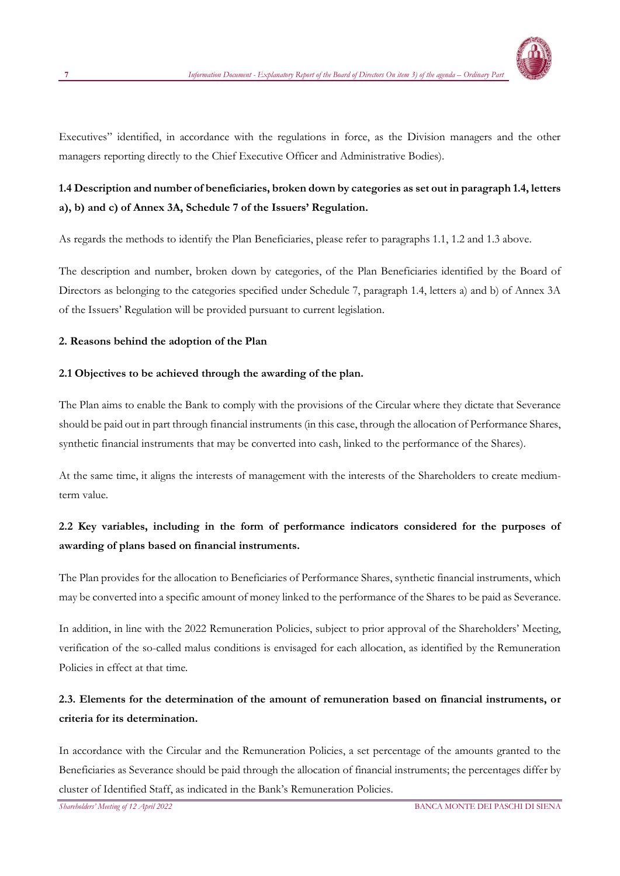

Executives" identified, in accordance with the regulations in force, as the Division managers and the other managers reporting directly to the Chief Executive Officer and Administrative Bodies).

# **1.4 Description and number of beneficiaries, broken down by categories as set out in paragraph 1.4, letters a), b) and c) of Annex 3A, Schedule 7 of the Issuers' Regulation.**

As regards the methods to identify the Plan Beneficiaries, please refer to paragraphs 1.1, 1.2 and 1.3 above.

The description and number, broken down by categories, of the Plan Beneficiaries identified by the Board of Directors as belonging to the categories specified under Schedule 7, paragraph 1.4, letters a) and b) of Annex 3A of the Issuers' Regulation will be provided pursuant to current legislation.

## **2. Reasons behind the adoption of the Plan**

#### **2.1 Objectives to be achieved through the awarding of the plan.**

The Plan aims to enable the Bank to comply with the provisions of the Circular where they dictate that Severance should be paid out in part through financial instruments (in this case, through the allocation of Performance Shares, synthetic financial instruments that may be converted into cash, linked to the performance of the Shares).

At the same time, it aligns the interests of management with the interests of the Shareholders to create mediumterm value.

# **2.2 Key variables, including in the form of performance indicators considered for the purposes of awarding of plans based on financial instruments.**

The Plan provides for the allocation to Beneficiaries of Performance Shares, synthetic financial instruments, which may be converted into a specific amount of money linked to the performance of the Shares to be paid as Severance.

In addition, in line with the 2022 Remuneration Policies, subject to prior approval of the Shareholders' Meeting, verification of the so-called malus conditions is envisaged for each allocation, as identified by the Remuneration Policies in effect at that time.

# **2.3. Elements for the determination of the amount of remuneration based on financial instruments, or criteria for its determination.**

In accordance with the Circular and the Remuneration Policies, a set percentage of the amounts granted to the Beneficiaries as Severance should be paid through the allocation of financial instruments; the percentages differ by cluster of Identified Staff, as indicated in the Bank's Remuneration Policies.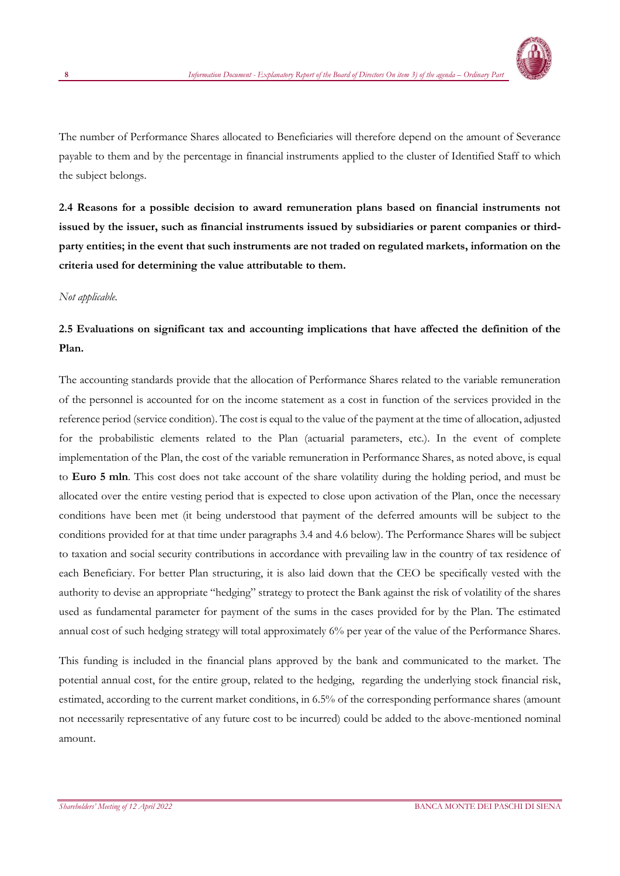

The number of Performance Shares allocated to Beneficiaries will therefore depend on the amount of Severance payable to them and by the percentage in financial instruments applied to the cluster of Identified Staff to which the subject belongs.

**2.4 Reasons for a possible decision to award remuneration plans based on financial instruments not issued by the issuer, such as financial instruments issued by subsidiaries or parent companies or thirdparty entities; in the event that such instruments are not traded on regulated markets, information on the criteria used for determining the value attributable to them.**

#### *Not applicable.*

# **2.5 Evaluations on significant tax and accounting implications that have affected the definition of the Plan.**

The accounting standards provide that the allocation of Performance Shares related to the variable remuneration of the personnel is accounted for on the income statement as a cost in function of the services provided in the reference period (service condition). The cost is equal to the value of the payment at the time of allocation, adjusted for the probabilistic elements related to the Plan (actuarial parameters, etc.). In the event of complete implementation of the Plan, the cost of the variable remuneration in Performance Shares, as noted above, is equal to **Euro 5 mln**. This cost does not take account of the share volatility during the holding period, and must be allocated over the entire vesting period that is expected to close upon activation of the Plan, once the necessary conditions have been met (it being understood that payment of the deferred amounts will be subject to the conditions provided for at that time under paragraphs 3.4 and 4.6 below). The Performance Shares will be subject to taxation and social security contributions in accordance with prevailing law in the country of tax residence of each Beneficiary. For better Plan structuring, it is also laid down that the CEO be specifically vested with the authority to devise an appropriate "hedging" strategy to protect the Bank against the risk of volatility of the shares used as fundamental parameter for payment of the sums in the cases provided for by the Plan. The estimated annual cost of such hedging strategy will total approximately 6% per year of the value of the Performance Shares.

This funding is included in the financial plans approved by the bank and communicated to the market. The potential annual cost, for the entire group, related to the hedging, regarding the underlying stock financial risk, estimated, according to the current market conditions, in 6.5% of the corresponding performance shares (amount not necessarily representative of any future cost to be incurred) could be added to the above-mentioned nominal amount.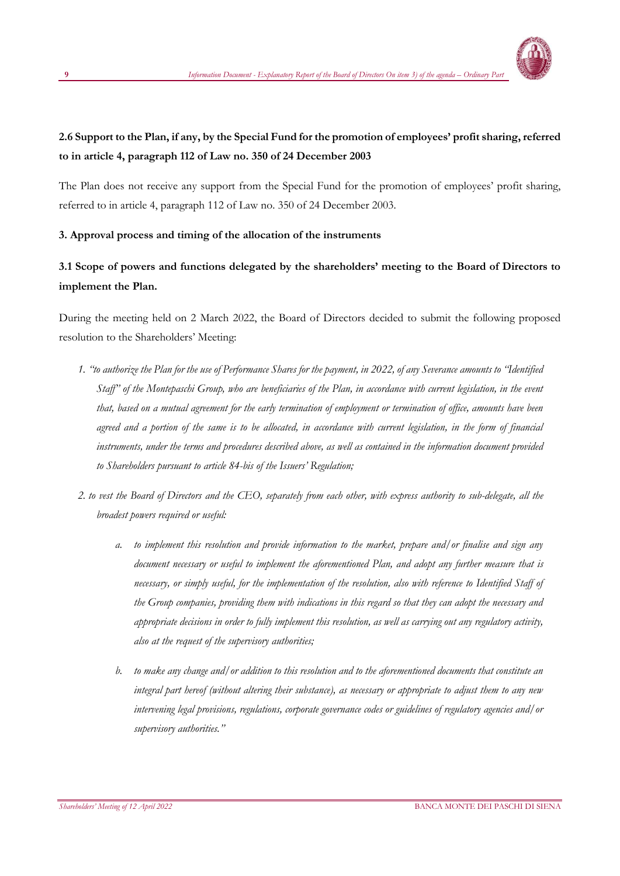

# **2.6 Support to the Plan, if any, by the Special Fund for the promotion of employees' profit sharing, referred to in article 4, paragraph 112 of Law no. 350 of 24 December 2003**

The Plan does not receive any support from the Special Fund for the promotion of employees' profit sharing, referred to in article 4, paragraph 112 of Law no. 350 of 24 December 2003.

## **3. Approval process and timing of the allocation of the instruments**

# **3.1 Scope of powers and functions delegated by the shareholders' meeting to the Board of Directors to implement the Plan.**

During the meeting held on 2 March 2022, the Board of Directors decided to submit the following proposed resolution to the Shareholders' Meeting:

- *1. "to authorize the Plan for the use of Performance Shares for the payment, in 2022, of any Severance amounts to "Identified Staff" of the Montepaschi Group, who are beneficiaries of the Plan, in accordance with current legislation, in the event that, based on a mutual agreement for the early termination of employment or termination of office, amounts have been agreed and a portion of the same is to be allocated, in accordance with current legislation, in the form of financial instruments, under the terms and procedures described above, as well as contained in the information document provided to Shareholders pursuant to article 84-bis of the Issuers' Regulation;*
- *2. to vest the Board of Directors and the CEO, separately from each other, with express authority to sub-delegate, all the broadest powers required or useful:*
	- *a. to implement this resolution and provide information to the market, prepare and/or finalise and sign any document necessary or useful to implement the aforementioned Plan, and adopt any further measure that is necessary, or simply useful, for the implementation of the resolution, also with reference to Identified Staff of the Group companies, providing them with indications in this regard so that they can adopt the necessary and appropriate decisions in order to fully implement this resolution, as well as carrying out any regulatory activity, also at the request of the supervisory authorities;*
	- *b. to make any change and/or addition to this resolution and to the aforementioned documents that constitute an integral part hereof (without altering their substance), as necessary or appropriate to adjust them to any new intervening legal provisions, regulations, corporate governance codes or guidelines of regulatory agencies and/or supervisory authorities."*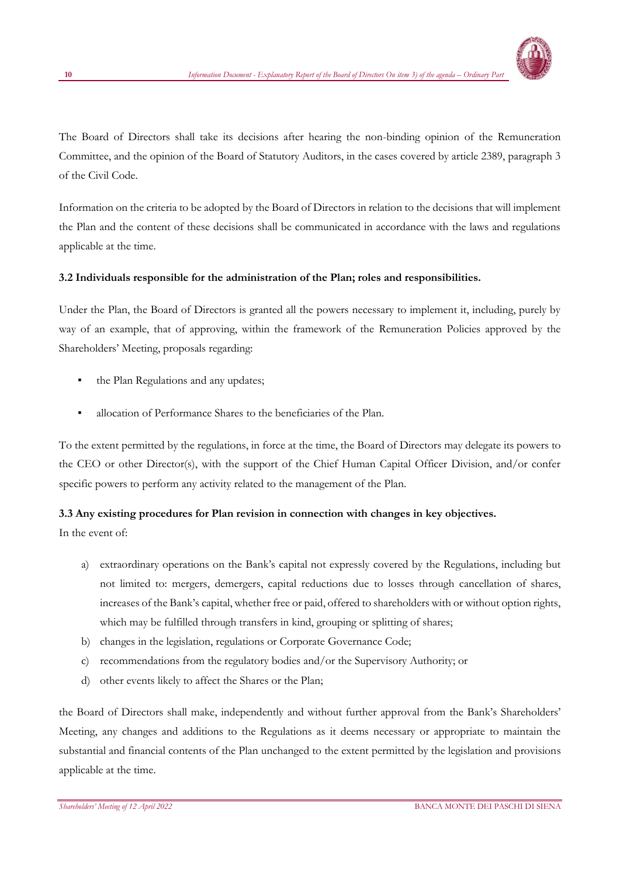

The Board of Directors shall take its decisions after hearing the non-binding opinion of the Remuneration Committee, and the opinion of the Board of Statutory Auditors, in the cases covered by article 2389, paragraph 3 of the Civil Code.

Information on the criteria to be adopted by the Board of Directors in relation to the decisions that will implement the Plan and the content of these decisions shall be communicated in accordance with the laws and regulations applicable at the time.

## **3.2 Individuals responsible for the administration of the Plan; roles and responsibilities.**

Under the Plan, the Board of Directors is granted all the powers necessary to implement it, including, purely by way of an example, that of approving, within the framework of the Remuneration Policies approved by the Shareholders' Meeting, proposals regarding:

- the Plan Regulations and any updates;
- allocation of Performance Shares to the beneficiaries of the Plan.

To the extent permitted by the regulations, in force at the time, the Board of Directors may delegate its powers to the CEO or other Director(s), with the support of the Chief Human Capital Officer Division, and/or confer specific powers to perform any activity related to the management of the Plan.

## **3.3 Any existing procedures for Plan revision in connection with changes in key objectives.**

In the event of:

- a) extraordinary operations on the Bank's capital not expressly covered by the Regulations, including but not limited to: mergers, demergers, capital reductions due to losses through cancellation of shares, increases of the Bank's capital, whether free or paid, offered to shareholders with or without option rights, which may be fulfilled through transfers in kind, grouping or splitting of shares;
- b) changes in the legislation, regulations or Corporate Governance Code;
- c) recommendations from the regulatory bodies and/or the Supervisory Authority; or
- d) other events likely to affect the Shares or the Plan;

the Board of Directors shall make, independently and without further approval from the Bank's Shareholders' Meeting, any changes and additions to the Regulations as it deems necessary or appropriate to maintain the substantial and financial contents of the Plan unchanged to the extent permitted by the legislation and provisions applicable at the time.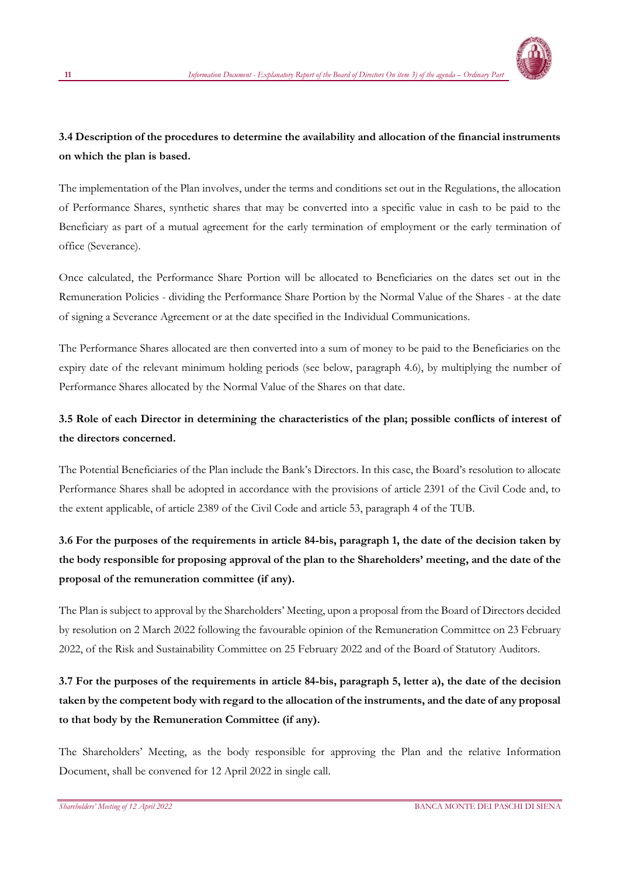

# **3.4 Description of the procedures to determine the availability and allocation of the financial instruments on which the plan is based.**

The implementation of the Plan involves, under the terms and conditions set out in the Regulations, the allocation of Performance Shares, synthetic shares that may be converted into a specific value in cash to be paid to the Beneficiary as part of a mutual agreement for the early termination of employment or the early termination of office (Severance).

Once calculated, the Performance Share Portion will be allocated to Beneficiaries on the dates set out in the Remuneration Policies - dividing the Performance Share Portion by the Normal Value of the Shares - at the date of signing a Severance Agreement or at the date specified in the Individual Communications.

The Performance Shares allocated are then converted into a sum of money to be paid to the Beneficiaries on the expiry date of the relevant minimum holding periods (see below, paragraph 4.6), by multiplying the number of Performance Shares allocated by the Normal Value of the Shares on that date.

# **3.5 Role of each Director in determining the characteristics of the plan; possible conflicts of interest of the directors concerned.**

The Potential Beneficiaries of the Plan include the Bank's Directors. In this case, the Board's resolution to allocate Performance Shares shall be adopted in accordance with the provisions of article 2391 of the Civil Code and, to the extent applicable, of article 2389 of the Civil Code and article 53, paragraph 4 of the TUB.

# **3.6 For the purposes of the requirements in article 84-bis, paragraph 1, the date of the decision taken by the body responsible for proposing approval of the plan to the Shareholders' meeting, and the date of the proposal of the remuneration committee (if any).**

The Plan is subject to approval by the Shareholders' Meeting, upon a proposal from the Board of Directors decided by resolution on 2 March 2022 following the favourable opinion of the Remuneration Committee on 23 February 2022, of the Risk and Sustainability Committee on 25 February 2022 and of the Board of Statutory Auditors.

# **3.7 For the purposes of the requirements in article 84-bis, paragraph 5, letter a), the date of the decision taken by the competent body with regard to the allocation of the instruments, and the date of any proposal to that body by the Remuneration Committee (if any).**

The Shareholders' Meeting, as the body responsible for approving the Plan and the relative Information Document, shall be convened for 12 April 2022 in single call.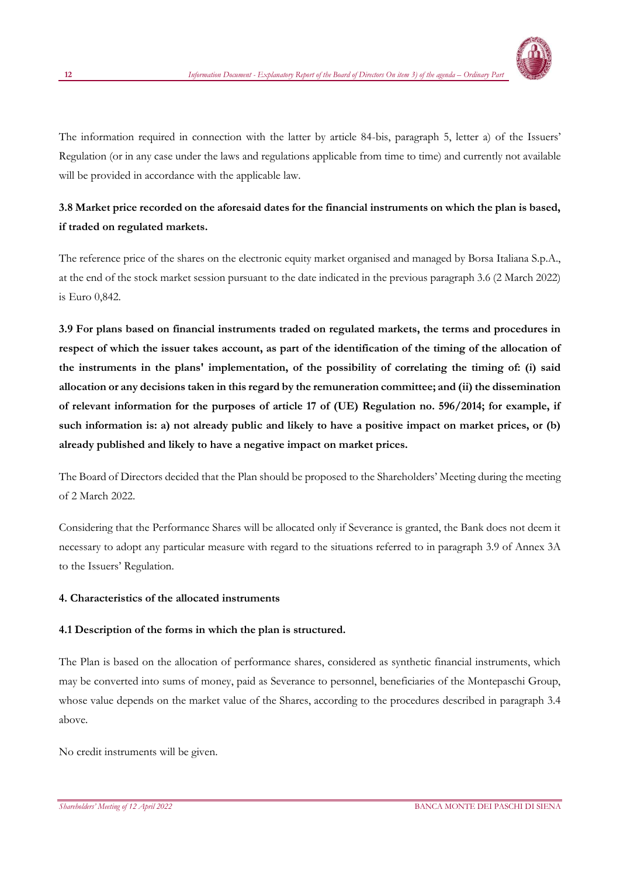

The information required in connection with the latter by article 84-bis, paragraph 5, letter a) of the Issuers' Regulation (or in any case under the laws and regulations applicable from time to time) and currently not available will be provided in accordance with the applicable law.

# **3.8 Market price recorded on the aforesaid dates for the financial instruments on which the plan is based, if traded on regulated markets.**

The reference price of the shares on the electronic equity market organised and managed by Borsa Italiana S.p.A., at the end of the stock market session pursuant to the date indicated in the previous paragraph 3.6 (2 March 2022) is Euro 0,842.

**3.9 For plans based on financial instruments traded on regulated markets, the terms and procedures in respect of which the issuer takes account, as part of the identification of the timing of the allocation of the instruments in the plans' implementation, of the possibility of correlating the timing of: (i) said allocation or any decisions taken in this regard by the remuneration committee; and (ii) the dissemination of relevant information for the purposes of article 17 of (UE) Regulation no. 596/2014; for example, if such information is: a) not already public and likely to have a positive impact on market prices, or (b) already published and likely to have a negative impact on market prices.**

The Board of Directors decided that the Plan should be proposed to the Shareholders' Meeting during the meeting of 2 March 2022.

Considering that the Performance Shares will be allocated only if Severance is granted, the Bank does not deem it necessary to adopt any particular measure with regard to the situations referred to in paragraph 3.9 of Annex 3A to the Issuers' Regulation.

#### **4. Characteristics of the allocated instruments**

#### **4.1 Description of the forms in which the plan is structured.**

The Plan is based on the allocation of performance shares, considered as synthetic financial instruments, which may be converted into sums of money, paid as Severance to personnel, beneficiaries of the Montepaschi Group, whose value depends on the market value of the Shares, according to the procedures described in paragraph 3.4 above.

No credit instruments will be given.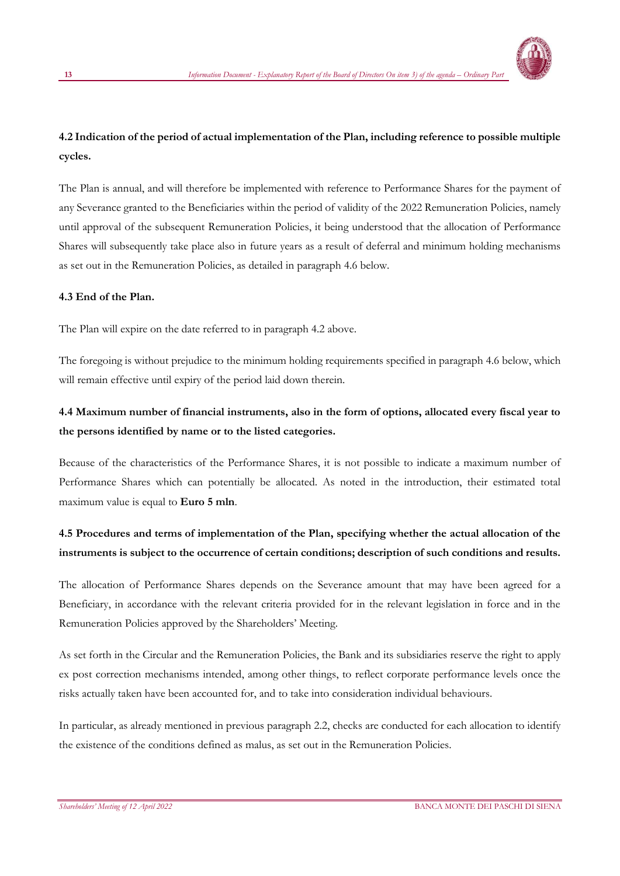

# **4.2 Indication of the period of actual implementation of the Plan, including reference to possible multiple cycles.**

The Plan is annual, and will therefore be implemented with reference to Performance Shares for the payment of any Severance granted to the Beneficiaries within the period of validity of the 2022 Remuneration Policies, namely until approval of the subsequent Remuneration Policies, it being understood that the allocation of Performance Shares will subsequently take place also in future years as a result of deferral and minimum holding mechanisms as set out in the Remuneration Policies, as detailed in paragraph 4.6 below.

## **4.3 End of the Plan.**

The Plan will expire on the date referred to in paragraph 4.2 above.

The foregoing is without prejudice to the minimum holding requirements specified in paragraph 4.6 below, which will remain effective until expiry of the period laid down therein.

# **4.4 Maximum number of financial instruments, also in the form of options, allocated every fiscal year to the persons identified by name or to the listed categories.**

Because of the characteristics of the Performance Shares, it is not possible to indicate a maximum number of Performance Shares which can potentially be allocated. As noted in the introduction, their estimated total maximum value is equal to **Euro 5 mln**.

# **4.5 Procedures and terms of implementation of the Plan, specifying whether the actual allocation of the instruments is subject to the occurrence of certain conditions; description of such conditions and results.**

The allocation of Performance Shares depends on the Severance amount that may have been agreed for a Beneficiary, in accordance with the relevant criteria provided for in the relevant legislation in force and in the Remuneration Policies approved by the Shareholders' Meeting.

As set forth in the Circular and the Remuneration Policies, the Bank and its subsidiaries reserve the right to apply ex post correction mechanisms intended, among other things, to reflect corporate performance levels once the risks actually taken have been accounted for, and to take into consideration individual behaviours.

In particular, as already mentioned in previous paragraph 2.2, checks are conducted for each allocation to identify the existence of the conditions defined as malus, as set out in the Remuneration Policies.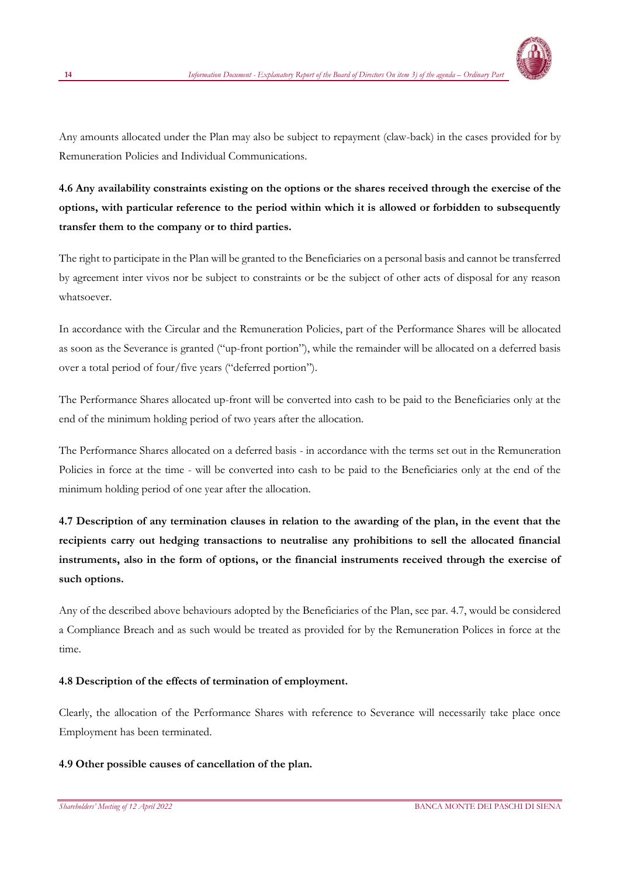

Any amounts allocated under the Plan may also be subject to repayment (claw-back) in the cases provided for by Remuneration Policies and Individual Communications.

**4.6 Any availability constraints existing on the options or the shares received through the exercise of the options, with particular reference to the period within which it is allowed or forbidden to subsequently transfer them to the company or to third parties.**

The right to participate in the Plan will be granted to the Beneficiaries on a personal basis and cannot be transferred by agreement inter vivos nor be subject to constraints or be the subject of other acts of disposal for any reason whatsoever.

In accordance with the Circular and the Remuneration Policies, part of the Performance Shares will be allocated as soon as the Severance is granted ("up-front portion"), while the remainder will be allocated on a deferred basis over a total period of four/five years ("deferred portion").

The Performance Shares allocated up-front will be converted into cash to be paid to the Beneficiaries only at the end of the minimum holding period of two years after the allocation.

The Performance Shares allocated on a deferred basis - in accordance with the terms set out in the Remuneration Policies in force at the time - will be converted into cash to be paid to the Beneficiaries only at the end of the minimum holding period of one year after the allocation.

**4.7 Description of any termination clauses in relation to the awarding of the plan, in the event that the recipients carry out hedging transactions to neutralise any prohibitions to sell the allocated financial instruments, also in the form of options, or the financial instruments received through the exercise of such options.**

Any of the described above behaviours adopted by the Beneficiaries of the Plan, see par. 4.7, would be considered a Compliance Breach and as such would be treated as provided for by the Remuneration Polices in force at the time.

## **4.8 Description of the effects of termination of employment.**

Clearly, the allocation of the Performance Shares with reference to Severance will necessarily take place once Employment has been terminated.

#### **4.9 Other possible causes of cancellation of the plan.**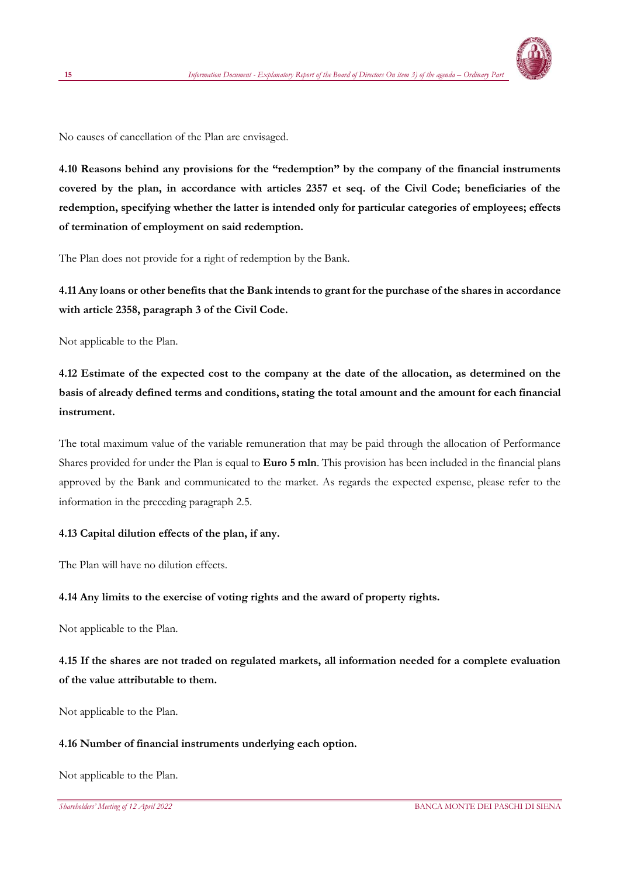

No causes of cancellation of the Plan are envisaged.

**4.10 Reasons behind any provisions for the "redemption" by the company of the financial instruments covered by the plan, in accordance with articles 2357 et seq. of the Civil Code; beneficiaries of the redemption, specifying whether the latter is intended only for particular categories of employees; effects of termination of employment on said redemption.**

The Plan does not provide for a right of redemption by the Bank.

**4.11 Any loans or other benefits that the Bank intends to grant for the purchase of the shares in accordance with article 2358, paragraph 3 of the Civil Code.**

Not applicable to the Plan.

**4.12 Estimate of the expected cost to the company at the date of the allocation, as determined on the basis of already defined terms and conditions, stating the total amount and the amount for each financial instrument.**

The total maximum value of the variable remuneration that may be paid through the allocation of Performance Shares provided for under the Plan is equal to **Euro 5 mln**. This provision has been included in the financial plans approved by the Bank and communicated to the market. As regards the expected expense, please refer to the information in the preceding paragraph 2.5.

#### **4.13 Capital dilution effects of the plan, if any.**

The Plan will have no dilution effects.

#### **4.14 Any limits to the exercise of voting rights and the award of property rights.**

Not applicable to the Plan.

**4.15 If the shares are not traded on regulated markets, all information needed for a complete evaluation of the value attributable to them.**

Not applicable to the Plan.

#### **4.16 Number of financial instruments underlying each option.**

Not applicable to the Plan.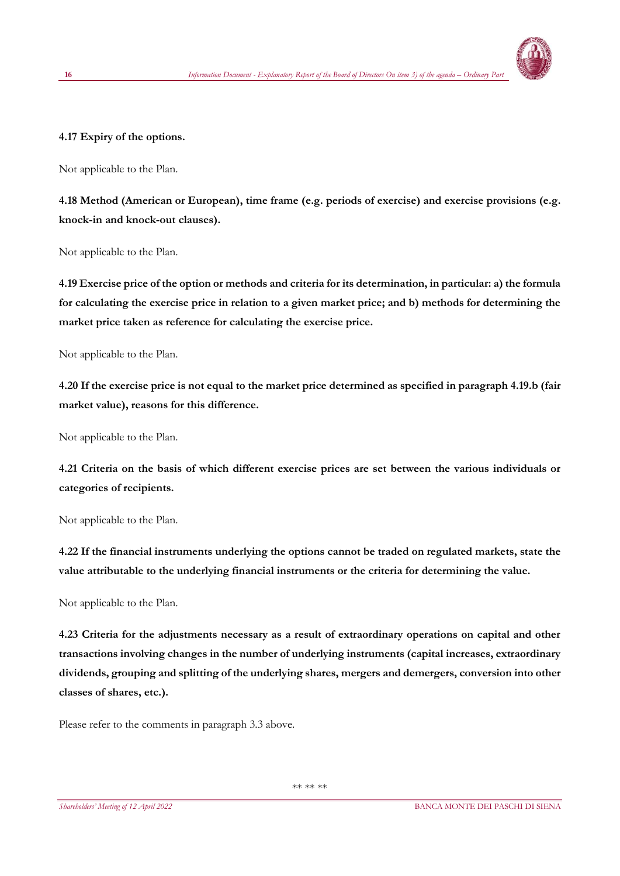

#### **4.17 Expiry of the options.**

Not applicable to the Plan.

**4.18 Method (American or European), time frame (e.g. periods of exercise) and exercise provisions (e.g. knock-in and knock-out clauses).**

Not applicable to the Plan.

**4.19 Exercise price of the option or methods and criteria for its determination, in particular: a) the formula for calculating the exercise price in relation to a given market price; and b) methods for determining the market price taken as reference for calculating the exercise price.** 

Not applicable to the Plan.

**4.20 If the exercise price is not equal to the market price determined as specified in paragraph 4.19.b (fair market value), reasons for this difference.**

Not applicable to the Plan.

**4.21 Criteria on the basis of which different exercise prices are set between the various individuals or categories of recipients.**

Not applicable to the Plan.

**4.22 If the financial instruments underlying the options cannot be traded on regulated markets, state the value attributable to the underlying financial instruments or the criteria for determining the value.**

Not applicable to the Plan.

**4.23 Criteria for the adjustments necessary as a result of extraordinary operations on capital and other transactions involving changes in the number of underlying instruments (capital increases, extraordinary dividends, grouping and splitting of the underlying shares, mergers and demergers, conversion into other classes of shares, etc.).**

Please refer to the comments in paragraph 3.3 above.